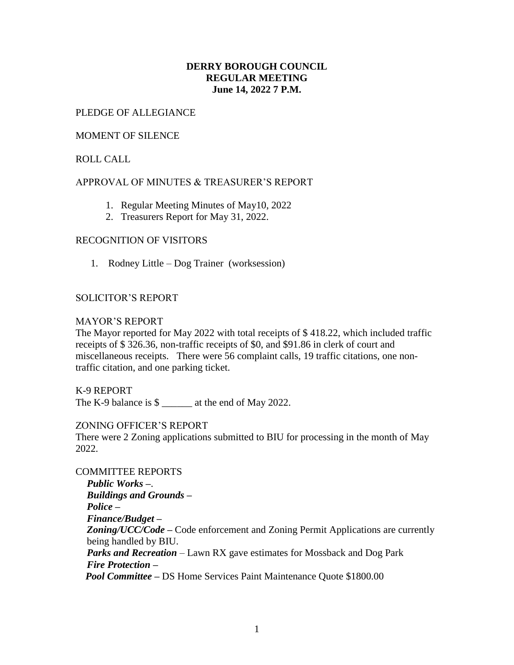# **DERRY BOROUGH COUNCIL REGULAR MEETING June 14, 2022 7 P.M.**

### PLEDGE OF ALLEGIANCE

### MOMENT OF SILENCE

# ROLL CALL

# APPROVAL OF MINUTES & TREASURER'S REPORT

- 1. Regular Meeting Minutes of May10, 2022
- 2. Treasurers Report for May 31, 2022.

# RECOGNITION OF VISITORS

1. Rodney Little – Dog Trainer (worksession)

#### SOLICITOR'S REPORT

#### MAYOR'S REPORT

The Mayor reported for May 2022 with total receipts of \$ 418.22, which included traffic receipts of \$ 326.36, non-traffic receipts of \$0, and \$91.86 in clerk of court and miscellaneous receipts. There were 56 complaint calls, 19 traffic citations, one nontraffic citation, and one parking ticket.

K-9 REPORT

The K-9 balance is \$ at the end of May 2022.

#### ZONING OFFICER'S REPORT

There were 2 Zoning applications submitted to BIU for processing in the month of May 2022.

COMMITTEE REPORTS *Public Works –*. *Buildings and Grounds – Police – Finance/Budget – Zoning/UCC/Code –* Code enforcement and Zoning Permit Applications are currently being handled by BIU. *Parks and Recreation* – Lawn RX gave estimates for Mossback and Dog Park *Fire Protection – Pool Committee –* DS Home Services Paint Maintenance Quote \$1800.00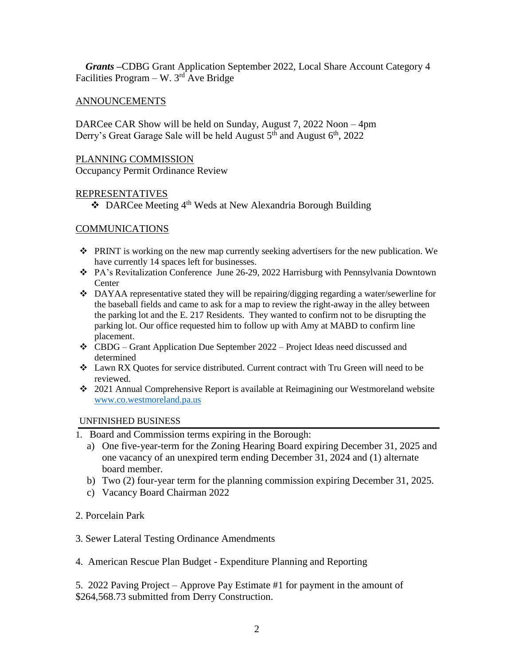*Grants –*CDBG Grant Application September 2022, Local Share Account Category 4 Facilities Program – W.  $3<sup>rd</sup>$  Ave Bridge

# ANNOUNCEMENTS

DARCee CAR Show will be held on Sunday, August 7, 2022 Noon – 4pm Derry's Great Garage Sale will be held August  $5<sup>th</sup>$  and August  $6<sup>th</sup>$ , 2022

#### PLANNING COMMISSION

Occupancy Permit Ordinance Review

#### REPRESENTATIVES

◆ DARCee Meeting 4<sup>th</sup> Weds at New Alexandria Borough Building

# COMMUNICATIONS

- PRINT is working on the new map currently seeking advertisers for the new publication. We have currently 14 spaces left for businesses.
- PA's Revitalization Conference June 26-29, 2022 Harrisburg with Pennsylvania Downtown **Center**
- DAYAA representative stated they will be repairing/digging regarding a water/sewerline for the baseball fields and came to ask for a map to review the right-away in the alley between the parking lot and the E. 217 Residents. They wanted to confirm not to be disrupting the parking lot. Our office requested him to follow up with Amy at MABD to confirm line placement.
- CBDG Grant Application Due September 2022 Project Ideas need discussed and determined
- Lawn RX Quotes for service distributed. Current contract with Tru Green will need to be reviewed.
- 2021 Annual Comprehensive Report is available at Reimagining our Westmoreland website [www.co.westmoreland.pa.us](http://www.co.westmoreland.pa.us/)

#### UNFINISHED BUSINESS

- 1. Board and Commission terms expiring in the Borough:
	- a) One five-year-term for the Zoning Hearing Board expiring December 31, 2025 and one vacancy of an unexpired term ending December 31, 2024 and (1) alternate board member.
	- b) Two (2) four-year term for the planning commission expiring December 31, 2025.
	- c) Vacancy Board Chairman 2022
- 2. Porcelain Park
- 3. Sewer Lateral Testing Ordinance Amendments
- 4. American Rescue Plan Budget Expenditure Planning and Reporting

5. 2022 Paving Project – Approve Pay Estimate #1 for payment in the amount of \$264,568.73 submitted from Derry Construction.